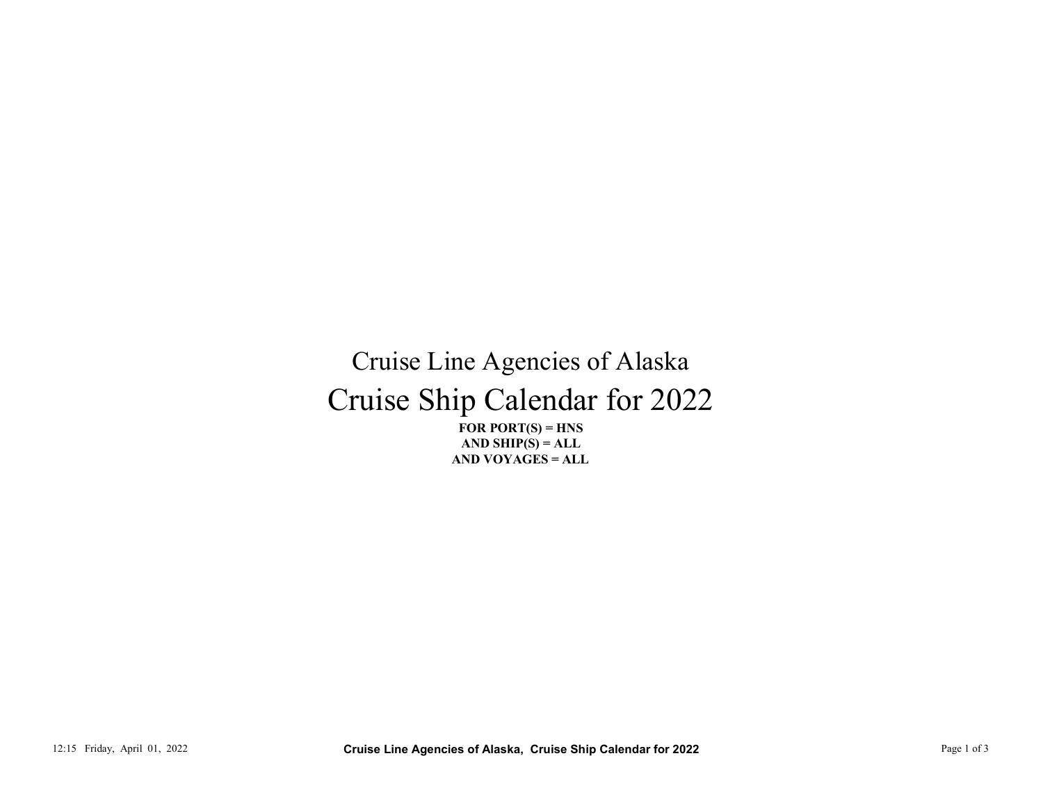## Cruise Ship Calendar for 2022 Cruise Line Agencies of Alaska 12:15 Friday, April 01, 2022<br>
12:15 Friday, April 01, 2022<br>
2.17:15 Friday, April 01, 2022<br>
2.12:15 Friday, April 01, 2022<br>
2.12:15 Friday, April 01, 2022<br>
2.12:15 Friday, April 01, 2022<br>
2.13:15 Friday, April 01, 2022<br>
2

FOR PORT $(S)$  = HNS AND VOYAGES = ALL AND SHIP $(S) = ALL$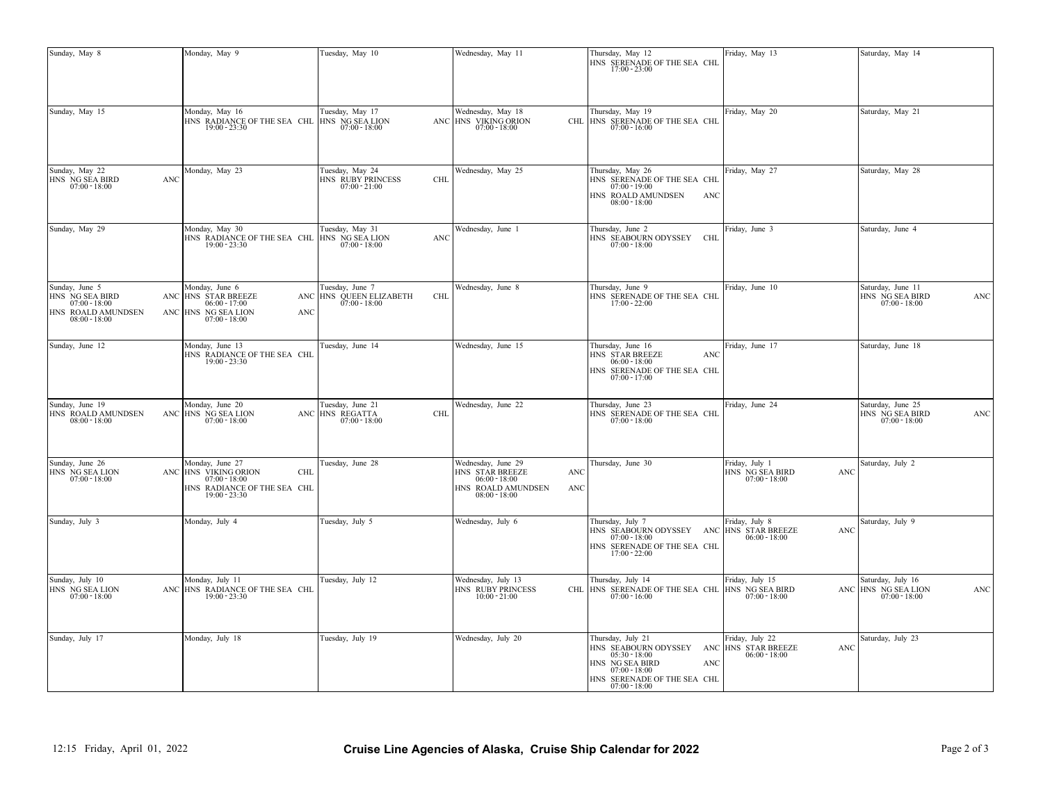| Sunday, May 8                                                                                 | Monday, May 9                                                                                                                                                                | Tuesday, May 10                                                                     | Wednesday, May 11                                           | Thursday, May 12<br>HNS SERENADE OF THE SEA CHL $17:00 - 23:00$                                                                                                                                                                                                                                                               | Friday, May 13                                       |     | Saturday, May 14                                                                                                                                                                                        |             |
|-----------------------------------------------------------------------------------------------|------------------------------------------------------------------------------------------------------------------------------------------------------------------------------|-------------------------------------------------------------------------------------|-------------------------------------------------------------|-------------------------------------------------------------------------------------------------------------------------------------------------------------------------------------------------------------------------------------------------------------------------------------------------------------------------------|------------------------------------------------------|-----|---------------------------------------------------------------------------------------------------------------------------------------------------------------------------------------------------------|-------------|
| Sunday, May 15                                                                                | Monday, May 16<br>HNS RADIANCE OF THE SEA CHL HNS NG SEA LION $19:00$ - 23:30                                                                                                | Tuesday, May 17                                                                     | Wednesday, May 18<br>ANC HNS VIKING ORION $07:00$ - 18:00   | Thursday, May 19<br>CHL HNS SERENADE OF THE SEA CHL $07:00 - 16:00$                                                                                                                                                                                                                                                           | Friday, May 20                                       |     | Saturday, May 21                                                                                                                                                                                        |             |
| Sunday, May 22<br>HNS NG SEA BIRD<br>$07:00 - 18:00$                                          | Monday, May 23<br>ANC                                                                                                                                                        | Tuesday, May 24<br>HNS RUBY PRINCESS<br>$07:00 - 21:00$                             | Wednesday, May 25<br><b>CHL</b>                             | Thursday, May 26<br>HNS SERENADE OF THE SEA CHL<br>$07:00 - 19:00$<br>HNS ROALD AMUNDSEN<br>ANC<br>$08:00 - 18:00$                                                                                                                                                                                                            | Friday, May 27                                       |     | Saturday, May 28                                                                                                                                                                                        |             |
| Sunday, May 29                                                                                | Monday, May 30<br>HNS RADIANCE OF THE SEA CHL HNS NG SEA LION $19:00 - 23:30$                                                                                                | Tuesday, May 31                                                                     | Wednesday, June 1<br>ANC                                    | Thursday, June 2<br>HNS SEABOURN ODYSSEY CHL<br>$07:00 - 18:00$                                                                                                                                                                                                                                                               | Friday, June 3                                       |     | Saturday, June 4                                                                                                                                                                                        |             |
| Sunday, June 5<br>HNS NG SEA BIRD<br>$07:00 - 18:00$<br>HNS ROALD AMUNDSEN<br>$08:00 - 18:00$ | Monday, June 6<br>ANC HNS STAR BREEZE<br>$06:00 - 17:00$<br>ANC HNS NG SEA LION<br>$07:00 - 18:00$                                                                           | Tuesday, June 7<br>ANC $\overline{\text{HNS}}$ QUEEN ELIZABETH 07:00 - 18:00<br>ANC | Wednesday, June 8<br>CHL                                    | Thursday, June 9<br>HNS SERENADE OF THE SEA CHL $17:00$ - $22:00$                                                                                                                                                                                                                                                             | Friday, June 10                                      |     | Saturday, June 11<br>$\begin{array}{c} \text{HNS} \text{ \begin{subarray}{c} NG \text{}SEA \text{ \footnotesize BIRD} \\ 07 \text{:}00 \text{ \footnotesize -18} \text{:}00 \end{subarray} \end{array}$ | ANC         |
| Sunday, June 12                                                                               | Monday, June 13<br>HNS RADIANCE OF THE SEA CHL<br>$19:00 - 23:30$                                                                                                            | Tuesday, June 14                                                                    | Wednesday, June 15                                          | Thursday, June 16<br>HNS STAR BREEZE<br><b>ANC</b><br>$06:00 - 18:00$<br>HNS SERENADE OF THE SEA CHL<br>$07:00 - 17:00$                                                                                                                                                                                                       | Friday, June 17                                      |     | Saturday, June 18                                                                                                                                                                                       |             |
| Sunday, June 19<br>HNS ROALD AMUNDSEN<br>$08:00 - 18:00$                                      | Monday, June 20<br>ANC HNS NG SEA LION<br>$07:00 - 18:00$                                                                                                                    | Tuesday, June 21<br>ANC HNS REGATTA<br>$07:00 - 18:00$                              | Wednesday, June 22<br><b>CHL</b>                            | Thursday, June 23<br>HNS SERENADE OF THE SEA CHL<br>$07:00 - 18:00$                                                                                                                                                                                                                                                           | Friday, June 24                                      |     | Saturday, June 25<br>HNS $\overline{\text{NG} }$ SEA BIRD 07:00 - 18:00                                                                                                                                 | <b>ANC</b>  |
| Sunday, June 26<br>HNS NG SEA LION<br>$07:00 - 18:00$                                         | Monday, June 27<br>ANC $\begin{array}{c} \text{HNS} \\ \text{VIKING ORION} \\ \text{07:00} \\ \text{- 18:00} \end{array}$<br>HNS RADIANCE OF THE SEA CHL $19:00$ - $23:30\,$ | Tuesday, June 28<br>CHL                                                             | Wednesday, June 29<br>HNS ROALD AMUNDSEN<br>$08:00 - 18:00$ | Thursday, June 30<br>ANC<br>ANC                                                                                                                                                                                                                                                                                               | Friday, July 1<br>HNS NG SEA BIRD<br>$07:00 - 18:00$ | ANC | Saturday, July 2                                                                                                                                                                                        |             |
| Sunday, July 3                                                                                | Monday, July 4                                                                                                                                                               | Tuesday, July 5                                                                     | Wednesday, July 6                                           | Thursday, July 7<br>HNS SEABOURN ODYSSEY ANC<br>$07:00 - 18:00$<br>HNS SERENADE OF THE SEA CHL<br>$17:00 - 22:00$                                                                                                                                                                                                             | Friday, July 8<br>HNS STAR BREEZE<br>$06:00 - 18:00$ | ANC | Saturday, July 9                                                                                                                                                                                        |             |
| Sunday, July 10<br>HNS NG SEA LION<br>$07:00 - 18:00$                                         | Monday, July 11<br>ANC HNS RADIANCE OF THE SEA CHL<br>$19:00 - 23:30$                                                                                                        | Tuesday, July 12                                                                    | Wednesday, July 13<br>HNS RUBY PRINCESS<br>$10:00 - 21:00$  | Thursday, July 14<br>CHL HNS SERENADE OF THE SEA CHL HNS NG SEA BIRD<br>$07:00 - 16:00$                                                                                                                                                                                                                                       | Friday, July 15<br>$07:00 - 18:00$                   |     | Saturday, July 16<br>ANC HNS NG SEA LION<br>$07:00 - 18:00$                                                                                                                                             | ANC         |
| Sunday, July 17                                                                               | Monday, July 18                                                                                                                                                              | Tuesday, July 19                                                                    | Wednesday, July 20                                          | Thursday, July 21<br>$\begin{tabular}{ll} HNS & SEABOURN \; ODYSSEY & \; ANC \\ 05:30 - 18:00 & \; 000 - 18:00 \\ \end{tabular}$<br>$\begin{array}{rl} \text{HNS} & \text{NG} \text{ SEA} \text{ BIRD} \\ & 07 \mathord{:} 00 \text{ - } 18 \mathord{:} 00 \end{array}$<br>ANC<br>HNS SERENADE OF THE SEA CHL $07:00 - 18:00$ | Friday, July 22                                      | ANC | Saturday, July 23                                                                                                                                                                                       |             |
| 12:15 Friday, April 01, 2022                                                                  |                                                                                                                                                                              |                                                                                     |                                                             | Cruise Line Agencies of Alaska, Cruise Ship Calendar for 2022                                                                                                                                                                                                                                                                 |                                                      |     |                                                                                                                                                                                                         | Page 2 of 3 |
|                                                                                               |                                                                                                                                                                              |                                                                                     |                                                             |                                                                                                                                                                                                                                                                                                                               |                                                      |     |                                                                                                                                                                                                         |             |